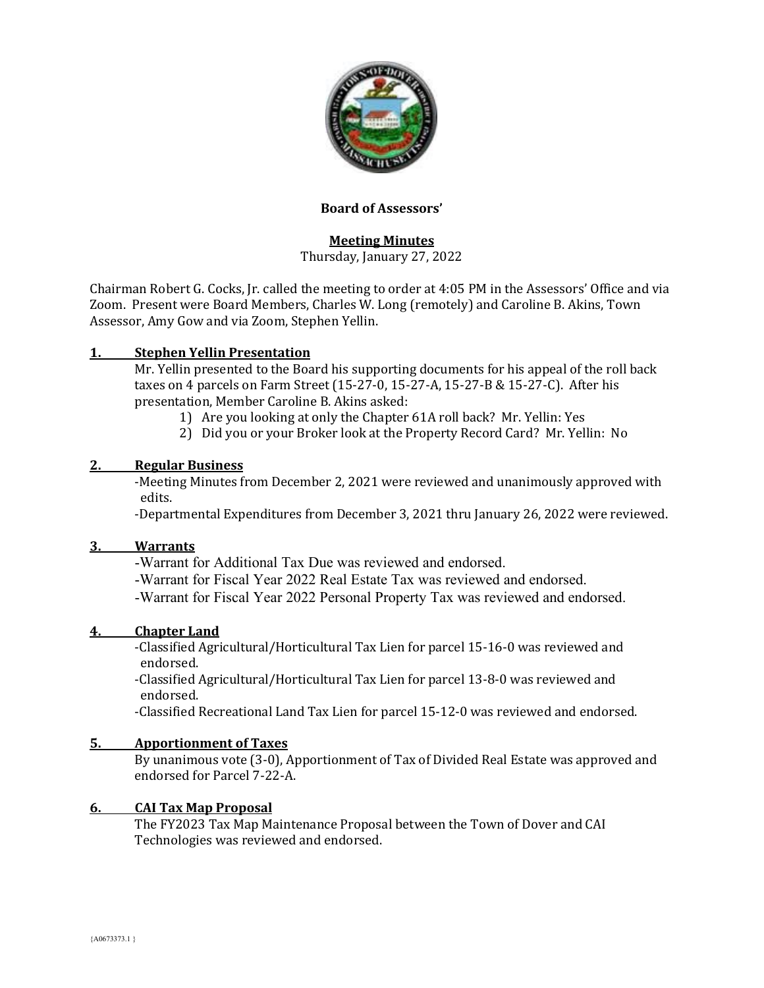

## **Board of Assessors'**

# **Meeting Minutes**

Thursday, January 27, 2022

Chairman Robert G. Cocks, Jr. called the meeting to order at 4:05 PM in the Assessors' Office and via Zoom. Present were Board Members, Charles W. Long (remotely) and Caroline B. Akins, Town Assessor, Amy Gow and via Zoom, Stephen Yellin.

# **1. Stephen Yellin Presentation**

Mr. Yellin presented to the Board his supporting documents for his appeal of the roll back taxes on 4 parcels on Farm Street (15-27-0, 15-27-A, 15-27-B & 15-27-C). After his presentation, Member Caroline B. Akins asked:

- 1) Are you looking at only the Chapter 61A roll back? Mr. Yellin: Yes
- 2) Did you or your Broker look at the Property Record Card? Mr. Yellin: No

### **2. Regular Business**

-Meeting Minutes from December 2, 2021 were reviewed and unanimously approved with edits.

-Departmental Expenditures from December 3, 2021 thru January 26, 2022 were reviewed.

### **3. Warrants**

-Warrant for Additional Tax Due was reviewed and endorsed.

-Warrant for Fiscal Year 2022 Real Estate Tax was reviewed and endorsed.

-Warrant for Fiscal Year 2022 Personal Property Tax was reviewed and endorsed.

### **4. Chapter Land**

-Classified Agricultural/Horticultural Tax Lien for parcel 15-16-0 was reviewed and endorsed.

-Classified Agricultural/Horticultural Tax Lien for parcel 13-8-0 was reviewed and endorsed.

-Classified Recreational Land Tax Lien for parcel 15-12-0 was reviewed and endorsed.

### **5. Apportionment of Taxes**

By unanimous vote (3-0), Apportionment of Tax of Divided Real Estate was approved and endorsed for Parcel 7-22-A.

### **6. CAI Tax Map Proposal**

The FY2023 Tax Map Maintenance Proposal between the Town of Dover and CAI Technologies was reviewed and endorsed.